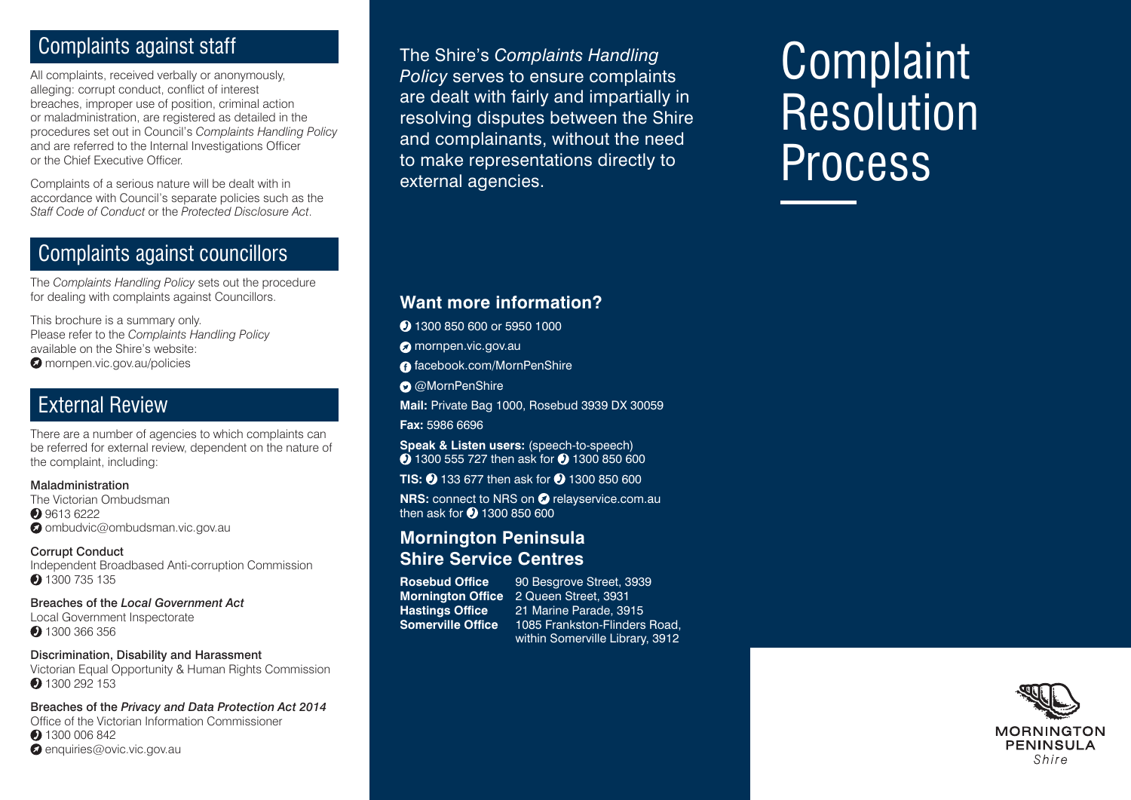# Complaints against staff

All complaints, received verbally or anonymously, alleging: corrupt conduct, conflict of interest breaches, improper use of position, criminal action or maladministration, are registered as detailed in the procedures set out in Council's *Complaints Handling Policy* and are referred to the Internal Investigations Officer or the Chief Executive Officer.

Complaints of a serious nature will be dealt with in accordance with Council's separate policies such as the *Staff Code of Conduct* or the *Protected Disclosure Act*.

## Complaints against councillors

The *Complaints Handling Policy* sets out the procedure for dealing with complaints against Councillors.

This brochure is a summary only. Please refer to the *Complaints Handling Policy* available on the Shire's website: **O** mornpen.vic.gov.au/policies

## External Review

There are a number of agencies to which complaints can be referred for external review, dependent on the nature of the complaint, including:

## Maladministration

The Victorian Ombudsman **9613 6222**  $\bullet$  ombudvic@ombudsman.vic.gov.au

## Corrupt Conduct

Independent Broadbased Anti-corruption Commission • 1300 735 135

Breaches of the *Local Government Act* Local Government Inspectorate 1300 366 356

## Discrimination, Disability and Harassment

Victorian Equal Opportunity & Human Rights Commission 1300 292 153

Breaches of the *Privacy and Data Protection Act 2014* Office of the Victorian Information Commissioner 1300 006 842  $\bullet$  enquiries@ovic.vic.gov.au

The Shire's *Complaints Handling Policy* serves to ensure complaints are dealt with fairly and impartially in resolving disputes between the Shire and complainants, without the need to make representations directly to external agencies.

# **Complaint Resolution** Process

## **Want more information?**

2 1300 850 600 or 5950 1000

**O** mornpen.vic.gov.au

- **a** facebook.com/MornPenShire
- **O** @MornPenShire

**Mail:** Private Bag 1000, Rosebud 3939 DX 30059

**Fax:** 5986 6696

**Speak & Listen users:** (speech-to-speech) **1300 555 727 then ask for 2 1300 850 600** 

**TIS: 0 133 677 then ask for 0 1300 850 600** 

**NRS:** connect to NRS on **O** relayservice.com.au then ask for  $\bigcirc$  1300 850 600

## **Mornington Peninsula Shire Service Centres**

**Rosebud Office** 90 Besgrove Street, 3939 **Mornington Office** 2 Queen Street, 3931<br>**Hastings Office** 21 Marine Parade. 39 **Hastings Office** 21 Marine Parade, 3915<br>**Somerville Office** 1085 Frankston-Flinders **Somerville Office** 1085 Frankston-Flinders Road, within Somerville Library, 3912